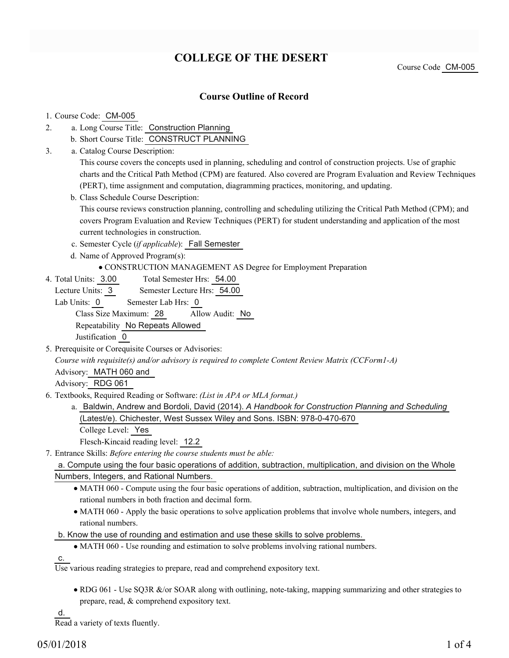# **COLLEGE OF THE DESERT**

Course Code CM-005

## **Course Outline of Record**

### 1. Course Code: CM-005

- a. Long Course Title: Construction Planning 2.
	- b. Short Course Title: CONSTRUCT PLANNING
- Catalog Course Description: a. 3.

This course covers the concepts used in planning, scheduling and control of construction projects. Use of graphic charts and the Critical Path Method (CPM) are featured. Also covered are Program Evaluation and Review Techniques (PERT), time assignment and computation, diagramming practices, monitoring, and updating.

b. Class Schedule Course Description:

This course reviews construction planning, controlling and scheduling utilizing the Critical Path Method (CPM); and covers Program Evaluation and Review Techniques (PERT) for student understanding and application of the most current technologies in construction.

- c. Semester Cycle (*if applicable*): Fall Semester
- d. Name of Approved Program(s):
	- CONSTRUCTION MANAGEMENT AS Degree for Employment Preparation
- Total Semester Hrs: 54.00 4. Total Units: 3.00
	- Lecture Units: 3 Semester Lecture Hrs: 54.00

Lab Units: 0 Semester Lab Hrs: 0 Class Size Maximum: 28 Allow Audit: No Repeatability No Repeats Allowed Justification 0

5. Prerequisite or Corequisite Courses or Advisories:

*Course with requisite(s) and/or advisory is required to complete Content Review Matrix (CCForm1-A)* Advisory: MATH 060 and

Advisory: RDG 061

- Textbooks, Required Reading or Software: *(List in APA or MLA format.)* 6.
	- a. Baldwin, Andrew and Bordoli, David (2014). A Handbook for Construction Planning and Scheduling (Latest/e). Chichester, West Sussex Wiley and Sons. ISBN: 978-0-470-670

College Level: Yes

Flesch-Kincaid reading level: 12.2

Entrance Skills: *Before entering the course students must be able:* 7.

a. Compute using the four basic operations of addition, subtraction, multiplication, and division on the Whole Numbers, Integers, and Rational Numbers.

- MATH 060 Compute using the four basic operations of addition, subtraction, multiplication, and division on the rational numbers in both fraction and decimal form.
- MATH 060 Apply the basic operations to solve application problems that involve whole numbers, integers, and rational numbers.

b. Know the use of rounding and estimation and use these skills to solve problems.

MATH 060 - Use rounding and estimation to solve problems involving rational numbers.

c.

Use various reading strategies to prepare, read and comprehend expository text.

• RDG 061 - Use SQ3R &/or SOAR along with outlining, note-taking, mapping summarizing and other strategies to prepare, read, & comprehend expository text.

d.

Read a variety of texts fluently.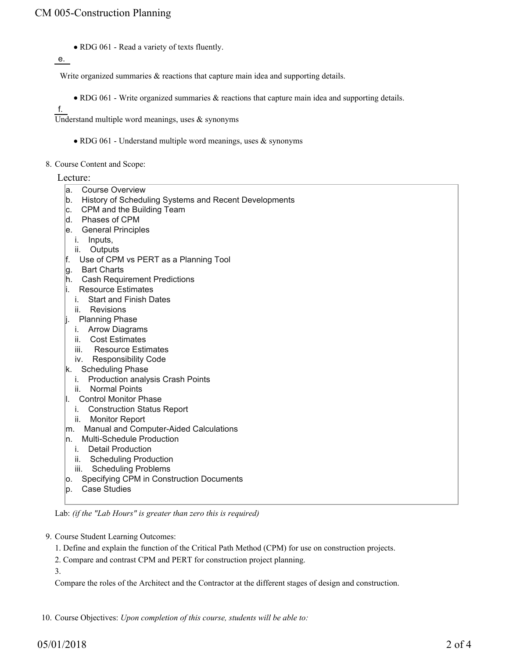RDG 061 - Read a variety of texts fluently.

e.

Write organized summaries  $\&$  reactions that capture main idea and supporting details.

RDG 061 - Write organized summaries & reactions that capture main idea and supporting details.

f.

Understand multiple word meanings, uses  $\&$  synonyms

- RDG 061 Understand multiple word meanings, uses & synonyms
- 8. Course Content and Scope:

### Lecture:

- a. Course Overview
- b. History of Scheduling Systems and Recent Developments
- c. CPM and the Building Team
- d. Phases of CPM
- e. General Principles
- i. Inputs,
- ii. Outputs
- f. Use of CPM vs PERT as a Planning Tool
- g. Bart Charts
- h. Cash Requirement Predictions
- i. Resource Estimates
	- i. Start and Finish Dates
	- ii. Revisions
- j. Planning Phase
	- i. Arrow Diagrams
	- ii. Cost Estimates
	- iii. Resource Estimates
	- iv. Responsibility Code
- k. Scheduling Phase
- i. Production analysis Crash Points
- ii. Normal Points
- l. Control Monitor Phase
	- i. Construction Status Report
- ii. Monitor Report
- m. Manual and Computer-Aided Calculations
- n. Multi-Schedule Production
	- i. Detail Production
	- ii. Scheduling Production
	- iii. Scheduling Problems
- o. Specifying CPM in Construction Documents
- p. Case Studies

Lab: *(if the "Lab Hours" is greater than zero this is required)*

9. Course Student Learning Outcomes:

1. Define and explain the function of the Critical Path Method (CPM) for use on construction projects.

2. Compare and contrast CPM and PERT for construction project planning.

3.

Compare the roles of the Architect and the Contractor at the different stages of design and construction.

10. Course Objectives: *Upon completion of this course, students will be able to:*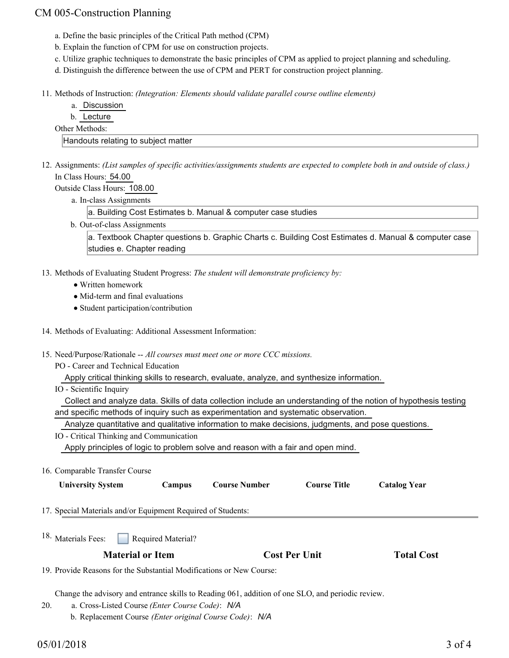## CM 005-Construction Planning

- a. Define the basic principles of the Critical Path method (CPM)
- b. Explain the function of CPM for use on construction projects.
- c. Utilize graphic techniques to demonstrate the basic principles of CPM as applied to project planning and scheduling.
- d. Distinguish the difference between the use of CPM and PERT for construction project planning.
- Methods of Instruction: *(Integration: Elements should validate parallel course outline elements)* 11.
	- a. Discussion
	- b. Lecture
	- Other Methods:

Handouts relating to subject matter

12. Assignments: (List samples of specific activities/assignments students are expected to complete both in and outside of class.) In Class Hours: 54.00

Outside Class Hours: 108.00

a. In-class Assignments

a. Building Cost Estimates b. Manual & computer case studies

b. Out-of-class Assignments

a. Textbook Chapter questions b. Graphic Charts c. Building Cost Estimates d. Manual & computer case studies e. Chapter reading

- 13. Methods of Evaluating Student Progress: The student will demonstrate proficiency by:
	- Written homework
	- Mid-term and final evaluations
	- Student participation/contribution
- 14. Methods of Evaluating: Additional Assessment Information:
- 15. Need/Purpose/Rationale -- All courses must meet one or more CCC missions.
	- PO Career and Technical Education

Apply critical thinking skills to research, evaluate, analyze, and synthesize information.

IO - Scientific Inquiry

 Collect and analyze data. Skills of data collection include an understanding of the notion of hypothesis testing and specific methods of inquiry such as experimentation and systematic observation.

Analyze quantitative and qualitative information to make decisions, judgments, and pose questions.

- IO Critical Thinking and Communication Apply principles of logic to problem solve and reason with a fair and open mind.
- 16. Comparable Transfer Course

| <b>University System</b>                                             | Campus             | <b>Course Number</b> | <b>Course Title</b>  | <b>Catalog Year</b> |  |
|----------------------------------------------------------------------|--------------------|----------------------|----------------------|---------------------|--|
| 17. Special Materials and/or Equipment Required of Students:         |                    |                      |                      |                     |  |
| <sup>18.</sup> Materials Fees:                                       | Required Material? |                      |                      |                     |  |
| <b>Material or Item</b>                                              |                    |                      | <b>Cost Per Unit</b> |                     |  |
| 19. Provide Reasons for the Substantial Modifications or New Course: |                    |                      |                      |                     |  |

Change the advisory and entrance skills to Reading 061, addition of one SLO, and periodic review.

- a. Cross-Listed Course *(Enter Course Code)*: *N/A* 20.
	- b. Replacement Course *(Enter original Course Code)*: *N/A*